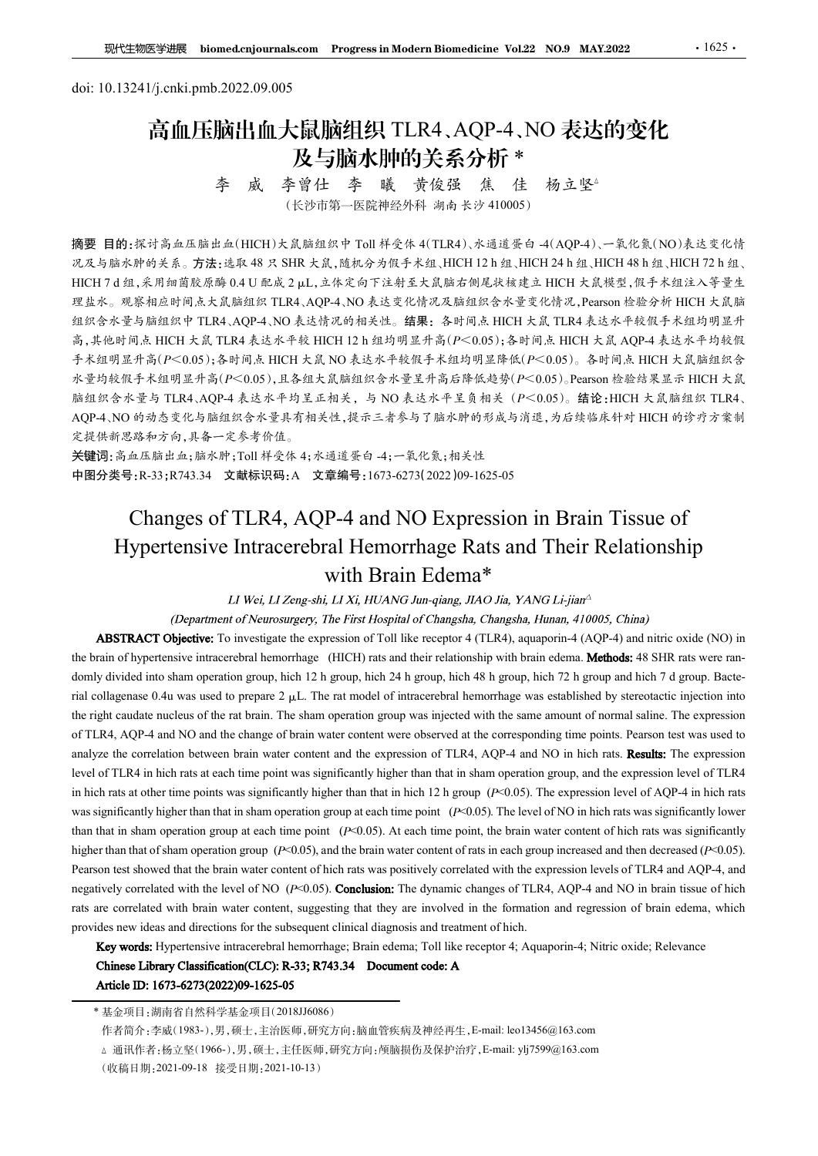# <sup>现代生物医学进展</sup> biomed.cnjournals.com Progress in Modern Biomedicine Vol.22<br>doi: 10.13241/j.cnki.pmb.2022.09.005<br>高血压脑出血大鼠脑组织 TLR4、AQP-4、NO<br>及与脑水肿的关系分析 \* 高血压脑出血大鼠脑组织 TLR4、AQP-4、NO 表达的变化 及与脑水肿的关系分析 \* 及与脑水肿的关系分析 \*<br>李 威 李曾仕 李 曦 黄俊强 焦 佳 杨立坚

ンマンイン・カイロン マス・ファット<br>李曾仕 李 曦 黄俊强 焦 佳 杨立<br>(长沙市第一医院神经外科 湖南长沙 410005)

摘要 目的:探讨高血压脑出血(HICH)大鼠脑组织中 Toll 样受体 4(TLR4)、水通道蛋白 -4(AQP-4)、一氧化氮(NO)表达变化情 **现性物质学期限 biomedenjournals.com Progress in Modern Biomedicine Vol22 NO.9 MAY.2022 - - 1625 - 1625 - 1631 - 1634<br>doi: 10.13241/j.cnki.pmb.2022.09.005<br> 高血压脑出血大鼠脑组织 TLR4、AQP-4、NO 表达的变化<br> - 多 成 李曾仕 李 曦 黄俊强 焦 佳 杨立坚<br> (Kiping) - 医 THE THE 7 d doi: 10.13241/j.cnki.pmb.2022.09.005**<br> **H**oi: 10.13241/j.cnki.pmb.2022.09.005<br> **H**<br> **H**<br> **H**<br> **HICH 2.2 U A DOI: THE 7 DEAL A QP-4 , NO 表达的变化<br>
<br>
<b>HE THE THE THE THE THE THE 7 A SUBMAN THE 7 THE 7 A DOIS<br>
<br>
<br>** 理盐水。观察相应时间点大鼠脑组织 TLR4、AQP-4、NO 表达变化情况及脑组织含水量变化情况,Pearson 检验分析 HICH 大鼠脑 组织含水量与脑组织中 TLR4、AQP-4、NO 表达情况的相关性。结果:各时间点 HICH 大鼠 TLR4 表达水平较假手术组均明显升 高,其他时间点 HICH 大鼠 TLR4 表达水平较 HICH 12 h 组均明显升高(P<0.05);各时间点 HICH 大鼠 AQP-4 表达水平均较假 手术组明显升高(P<0.05);各时间点 HICH 大鼠 NO 表达水平较假手术组均明显降低(P<0.05)。各时间点 HICH 大鼠脑组织含 水量均较假手术组明显升高(P<0.05),且各组大鼠脑组织含水量呈升高后降低趋势(P<0.05)。Pearson 检验结果显示 HICH 大鼠 脑组织含水量与 TLR4、AQP-4 表达水平均呈正相关,与 NO 表达水平呈负相关 (P<0.05)。结论:HICH 大鼠脑组织 TLR4、<br>AQP-4、NO 的动态变化与脑组织含水量具有相关性,提示三者参与了脑水肿的形成与消退,为后续临床针对 HICH 的诊疗方案制 定提供新思路和方向,具备一定参考价值。 <sup>李</sup>成 李育仕 李 戦会 (1990年)<br>
- <sup>大学 (</sup>後沙市第一医解解外科 - 1992年)<br>
(1992年)<br>
- (1992年)<br>
- (1992年)<br>
- (1992年)<br>
- (1994年)<br>
- (1993年)<br>
- (1994年)<br>
- (1994年)<br>
- (1994年)<br>
- (1994年)<br>
- (1994年)<br>
- (1994年)<br>
- (1994年)<br>
- (1994年)<br>
- (1994年)<br>
- (1 Hypertensive Intracerebral Hemorrhage Rats and Their Relationship 织中 Toll 样受体 4(TLR4)、水通道蛋白 4(AQP4)、一氧化氮(NO)表达变化精<br><br>, "随机分为假手术组、HICH 12 h 组、HICH 24 h 组、HICH 48 h 组、HICH 72 h 组、<br>
在体定向下注射至大鼠脑右侧尾状核建工 HICH 大鼠機型、假手术组注入等量生<br>
24、NO 表达变化情况及脑组织含水量变化情况, Pearson 检验分析 HICH 大鼠脑<br><br>+ RAO 的计关性、结果。合时向点 HI **\$9.8 (4) Expression** of Toll Risk receptor 4 (TLR4), aquaporin-4 (ACP-4) and Toll receptor his receptor 1 (TLR4), and the expression of TOL TRA 表达水平机场开关。<br><br>5. 應泊線 TLR4, AQP-4, NO 表达外元的初关性。 請果: 各时间点 HICH 大点 TLR4 表达水平核组手术组 程源系、現各相互同点大展開所、LEG-ARCH-ARCH-ARCH-ARCHIVER RETAIN (PERIOD TRIAL ARCHIVER ARCHIVER ARCHIVER ARCHIVER ARCHIVER ARCHIVER ARCHIVER ARCHIVER ARCHIVER ARCHIVER ARCHIVER ARCHIVER ARCHIVER ARCHIVER ARCHIVER ARCHIVER ARCHIVER ARC

关键词:高血压脑出血;脑水肿;Toll 样受体 4;水通道蛋白 -4;一氧化氮;相关性 中图分类号:R-33;R743.34 文献标识码:A 文章编号:1673-6273(2022)09-1625-05

**is, J. A. 2013**<br>
is a stable of PLINA (ECOLUS), A strip is a stable of intracered to prepare 2  $\mu$ . The rat model of interaction is a strip in the rat model of interaction is a strip in the rat model of interaction is  $\tau$ ARM PRESSION ) : 春本印記 MICH KAL NO A 在本平位現不在週刊開业新線IP (24:000)、春神県 24:000、春神県 24:000、春神県 24:000 (11 KA MATH KAL MATH KAL MATH KAL MATH KAL MATH KAL MATH KAL MATH KAL MATH KAL MATH KAL MATH KAL MATH KAL MATH KAL MATH K  $\kappa \pm \eta \approx 0$  and  $\kappa \approx 0.008$  and  $\kappa \approx 0.048$  and  $\kappa \approx 0.048$  and  $\kappa \approx 0.048$  and  $\kappa \approx 0.048$  and  $\kappa \approx 0.044$ . No  $\phi \approx 0.048$ ,  $\kappa \approx 0.048$ ,  $\kappa \approx 0.048$ ,  $\kappa \approx 0.048$ ,  $\kappa \approx 0.048$ ,  $\kappa \approx 0.048$ ,  $\k$ <br>
Face Society + The correlation between brain water of the correlation between brain and the correlation between brain and the expression of TLR4, AQP-4 and NO Expression in Brain Tissue of<br>
<br> **关键词: 高点数的布向, 其等一定格点化,水道要偏** Althroad into share provides at the TLR4 in the high rate of TLR4 in high rate in the time point was significantly higher than that in sham operation group of TLR4 in that in sham operation group of  $\alpha$ -2.0.2). Althroad 2. 受解 # 8. Sole by Fig. 3. Sole at the significant  $\mathbb{R}^2$  at  $\mathbb{R}^2$  at  $\mathbb{R}^2$  at  $\mathbb{R}^2$  at  $\mathbb{R}^2$  at  $\mathbb{R}^2$  at  $\mathbb{R}^2$  at  $\mathbb{R}^2$  at  $\mathbb{R}^2$  at  $\mathbb{R}^2$  at  $\mathbb{R}^2$  at  $\mathbb{R}^2$  at **FEBRI:** 63.8.48 EE 21, 11.87.4% + 1.7% 2.2% + 1.7% - 2.4% 1, 18% - 1.8% - 1.8% - 1.8% - 1.8% - 1.8% - 1.8% - 1.8% - 1.8% - 1.8% - 1.8% - 1.8% - 1.8% - 1.8% - 1.8% - 1.8% - 1.8% - 1.8% - 1.8% - 1.8% - 1.8% - 1.8% - 1.8% -**FIRITS AND ASSECT CONSULT AND ASSECT AND ASSECT AND ASSECT AND CONSULTION-105-105).** The cyclical Control and The control and The control and The control and The control and The control and The control and The control an **Changes of TLR4, AQP-4 and NO Expression in Brain Tissue of**<br> **Hypertensive Intracerebral Hemorrhage Rats and Their Relationship<br>** *UNei, LIZengsshi, LIXi, HUANG harqing, JINO Jia, YANG Lijini<sup>6</sup><br>
<i>Deputations Chymetron o* Changes of TLR4, AQP-4 and NO Expression in Brain Tissue of<br>
Hypertensive Intracercbral Hemorrhage Rats and Their Relationship<br>  $U$  Wei  $L1Z_{crysch1}$  Edena<sup>3</sup><br>  $U$  (Department of Neurosinger, The First Hospital of Changala, **Hypertensive Intracerebral Hemorrhage Rats and Their Relationship<br>
with Brain Edema \*<br>
Li Wei LiZong-shi Li Xi, HUANG Jon-giang JIAO Jin, YANG Li-jinn<br>
Department of Newtownage, 7.Be First Hospital of Changela, Changela, TAY POCESSIVE THERIOCESSIVE TO THERIOCESSIVE (FRIED TRIME TRIME TRIME IN THE CONTROL INTERFERENT (Department of Neurosappey. The First Hospital of Changaba, Changaba, Iluma, 410005. China)<br>
ABSTRACT Objective to investig** With Brain Edema<sup>2</sup><br>
(Department of Neurosagery, *i.he First Hospital of Chargona, Chargona, Horona, 410005, China)*<br> **ABSTRACT Objective:** To investigate the expression of Toll like receptor 4 (TLR4), aquaporin-4 (AQP-4) LT Wei, LT Zengeshi, LT Xi, HUANG Jan-qinng, JIAO Jin, YANG Li-jian"<br>
(Despriment of Neurosargery, The First Hemorrhage, Changgaha, Changgaha, Hunan, 410005; China)<br>
ABSIRACT Objective: To investigate the expression of To divided into sham operation group, hich 2 h group, hich 2 h is prop, hich 43 h group, hich and hich of a group. Near the divided into shame the correlator of a group. Near the same amount of normal saline. The expression i aligneases 0.4n was used to prepare 2 µL. The rat model of interaccebral hemorrhage was cealiblished by streetotacle injection into the same amount of normal saline. The expression eq. 4, AQP-4 and NO and the change of hr

<sup>(</sup>收稿日期:2021-09-18 接受日期:2021-10-13)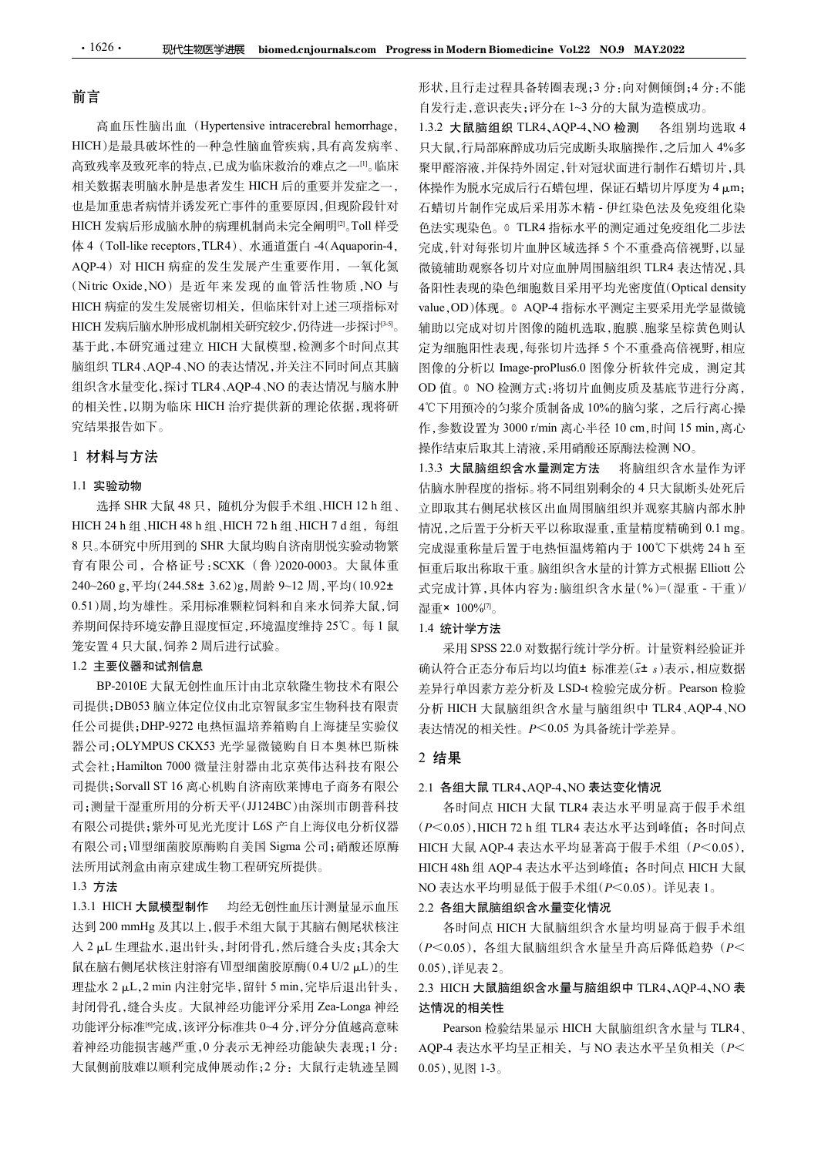### 前言

高致残率及致死率的特点,已成为临床救治的难点之一[1]。临床 相关数据表明脑水肿是患者发生 HICH 后的重要并发症之一, 也是加重患者病情并诱发死亡事件的重要原因,但现阶段针对 HICH 发病后形成脑水肿的病理机制尚未完全阐明<sup>[2]</sup>。Toll 样受  $\begin{tabular}{ll} \textbf{1626}\bullet\text{163}\bullet\text{168}\bullet\text{168}\bullet\text{168}\bullet\text{168}\bullet\text{168}\bullet\text{168}\bullet\text{168}\bullet\text{168}\bullet\text{168}\bullet\text{168}\bullet\text{168}\bullet\text{168}\bullet\text{168}\bullet\text{168}\bullet\text{168}\bullet\text{168}\bullet\text{168}\bullet\text{168}\bullet\text{168}\bullet\text{168}\bullet\text{168}\bullet\text{168}\bullet\text{168}\bullet\text{168}\bullet$  $\begin{tabular}{ll} \textbf{1626}\bullet\textbf{188} & \textbf{366} \\\hline \textbf{188} \end{tabular} \begin{tabular}{ll} \textbf{188} \begin{tabular}{ll} \textbf{188} \end{tabular} \end{tabular} \begin{tabular}{ll} \textbf{188} \begin{tabular}{ll} \multicolumn{2}{l}{{\bf \emph{N}}{\bf \emph{N}}{\bf \emph{N}}{\bf \emph{N}}{\bf \emph{N}}{\bf \emph{N}}{\bf \emph{N}}{\bf \emph{N}}{\bf \emph{N}}{\bf \emph{N}}{\bf \emph{N$ HICH 病症的发生发展密切相关,但临床针对上述三项指标对 HICH 发病后脑水肿形成机制相关研究较少,仍待进一步探讨<sup>[3-5]</sup>。 基于此,本研究通过建立 HICH 大鼠模型,检测多个时间点其 脑组织 TLR4、AQP-4、NO 的表达情况,并关注不同时间点其脑 组织含水量变化,探讨 TLR4、AQP-4、NO 的表达情况与脑水肿 的相关性,以期为临床 HICH 治疗提供新的理论依据,现将研 究结果报告如下。 33.42<br>1999年,1999年的59.52%以前的平元年的79~10.47%以前,1999年,1998年第19月,1998年,1998年1998年(1994)对HCH 获取的工作。<br>240-4)对HCH 病症的发生发展产生重要作用,一氧化氮 微镜辅助观察各切片对应血肿周围脑组织<br>AQP-4)对HCH 病症的发生发展产生重要作用,一氧化氮 微镜辅助观察各切片对应血肿周围脑组织<br>HCN 特定性发展密切机构关,但临降特对上述三项指标对。

## 1 材料与方法

### 1.1 实验动物

8 只。本研究中所用到的 SHR 大鼠均购自济南朋悦实验动物繁 完成湿重称量后置于电热恒温烤箱内于 100℃下烘烤 24 h 至 育有限公司,合格证号:SCXK (鲁)2020-0003。大鼠体重 0.51)周,均为雄性。采用标准颗粒饲料和自来水饲养大鼠,饲 养期间保持环境安静且湿度恒定,环境温度维持 25℃。每 1 鼠 笼安置 4 只大鼠,饲养 2 周后进行试验。

### 1.2 主要仪器和试剂信息

BP-2010E 大鼠无创性血压计由北京软隆生物技术有限公 司提供;DB053 脑立体定位仪由北京智鼠多宝生物科技有限责 任公司提供;DHP-9272 电热恒温培养箱购自上海捷呈实验仪 #8.8日,在1997年1125、125年112月,在1998年4月,1998年4月,1998年4月,1998年4月,1998年4月,1998年4月,1998年4月,1998年4月,1998年4月,1998年4月,1998年4月,1998年4月,1998年4月,1998年4月,1998年4月,1998年4月,1998年4月,1998年4月,1998年4月,1998年4月,1998年4月,1998年4月,1998年4月,1998年4月, 57.5%,用于福建所用的,如果是在以前的,中国公司的国际公司,在2008年,19.7%,有限公司提供;BR-2010 公司提供;Hamilton 7000 微量注射器由出海线化管理 3.1.3 全接行单时指为接受 4.5%,而且以进行的标准,并不能够成为,通用的标准,并且 1.3.3 大量的法 1.1.3 大量的 3.5%,是用两座的标准,从一个结束或是在收入中间隔的标准,有同时的 3.5%,而且 1.1.2 实验动物 3.5%,而 司提供;Sorvall ST 16 离心机购自济南欧莱博电子商务有限公 司;测量干湿重所用的分析天平(JJ124BC)由深圳市朗普科技 有限公司;Ⅶ型细菌胶原酶购自美国 Sigma 公司;硝酸还原酶 法所用试剂盒由南京建成生物工程研究所提供。  $\begin{array}{lllllllllllllllllllllllllllllllllllllllllllll}&\tau_{\rm L} \sin\theta_{\rm L} \sin\theta_{\rm L} \sin\theta_{\rm L} \sin\theta_{\rm L} \sin\theta_{\rm L} \sin\theta_{\rm L} \sin\theta_{\rm L} \sin\theta_{\rm L} \sin\theta_{\rm L} \sin\theta_{\rm L} \sin\theta_{\rm L} \sin\theta_{\rm L} \sin\theta_{\rm L} \sin\theta_{\rm L} \sin\theta_{\rm L} \sin\theta_{\rm L} \sin\theta_{\rm L} \sin\theta_{\rm L} \sin\theta_{\rm L} \sin\theta_{\rm L} \sin\$ 达到 200 mmHg 及其以上,假手术组大鼠于其脑右侧尾状核注 鼠在脑右侧尾状核注射溶有Ⅶ型细菌胶原酶(0.4 U/2 <sup>滋</sup>L)的生 理盐水 <sup>2</sup> <sup>滋</sup>L,2 min 内注射完毕,留针 5 min,完毕后退出针头,

### 1.3 方法

入 2 µL 生理盐水,退出针头,封闭骨孔,然后缝合头皮;其余大 封闭骨孔,缝合头皮。大鼠神经功能评分采用 Zea-Longa 神经 功能评分标准[6]完成,该评分标准共 0~4 分,评分分值越高意味 着神经功能损害越严重,0 分表示无神经功能缺失表现;1 分: 大鼠侧前肢难以顺利完成伸展动作;2 分:大鼠行走轨迹呈圆 形状,且行走过程具备转圈表现;3 分:向对侧倾倒;4 分:不能 自发行走,意识丧失;评分在 1~3 分的大鼠为造模成功。

高血压性脑出血 (Hypertensive intracerebral hemorrhage, HICH)是最具破坏性的一种急性脑血管疾病,具有高发病率、 。Toll 样受 色法实现染色。<sup>①</sup> TLR4 指标水平的测定通过免疫组化二步法 。 辅助以完成对切片图像的随机选取,胞膜、胞浆呈棕黄色则认 1).4%、一般。一般,一般的,不是,一般的分为限于不好。一般是有限的。<br>我来发现平均特点,需要可以的,要用程序发展,不同打印的。"水果是有限的,具有引导机会成是有限管外,是一般的,以及,其他分别的。<br>我是表明描述来的是需要进行,我们的重要并发展之一,你提供方便会成后常有增强。我们的是是有限的情况,其中,其他的是一种的。<br>基因与其他的是需要的,不能会更是,我们的要并发展的,不能会的成分完成后来用系有,但我就会是必须使用不是,我们的是一些 maxiex-axiex-axies, ministration of the original of the content of the content of the content of the content of the content of the content of the content of the content of the content of the content of the content of th 1.3.2 大鼠脑组织 TLR4、AQP-4、NO 检测 各组别均选取 4 只大鼠,行局部麻醉成功后完成断头取脑操作,之后加入 4%多 聚甲醛溶液,并保持外固定,针对冠状面进行制作石蜡切片,具 体操作为脱水完成后行石蜡包埋, 保证石蜡切片厚度为 4 μm; 石蜡切片制作完成后采用苏木精 - 伊红染色法及免疫组化染 完成,针对每张切片血肿区域选择 5 个不重叠高倍视野,以显 微镜辅助观察各切片对应血肿周围脑组织 TLR4 表达情况,具 ss in Modern Biomedicine Vol.22 NO.9 MAY2022<br>形状,且行走过程具备转圈表现;3分:向对侧倾倒;4分:不能<br>自发行走,意识丧失;评分在 1~3分的大鼠为造模成功。<br>1.3.2 大鼠脑组织 TLR4,AQP-4,NO 检测 各组别均选取 4<br>只大鼠,所需解除成功后完成断头取脑操作,之后加 人 4%多<br>聚下程溶液,并保持外周定前使用,保证石蜡切片厚度为 4 µm;<br>体操作为脱水完成后不用药水精 - 伊 value, OD)体现。© AQP-4 指标水平测定主要采用光学显微镜 定为细胞阳性表现,每张切片选择 5 个不重叠高倍视野,相应 图像的分析以 Image-proPlus6.0 图像分析软件完成,测定其 OD 值。© NO 检测方式:将切片血侧皮质及基底节进行分离, 4℃下用预冷的匀浆介质制备成 10%的脑匀浆,之后行离心操 作,参数设置为 3000 r/min 离心半径 10 cm,时间 15 min,离心 操作结束后取其上清液,采用硝酸还原酶法检测 NO。 情况,之后置于分析天平以称取湿重,重量精度精确到 0.1 mg。 完成湿重称量后置于电热恒温烤箱内于 <sup>100</sup>℃下烘烤 24 h <sup>至</sup> 1.4.0 2.0 对数据行为。 1.6 2.0 对数据行业 标准 SPS 22.0 对数据行行 有限 国家大学有关 在中国家大学有关 在中国家大学有关 1.5 %为折发 1.5 国家大学方式 1.6 %为折发 1.5 mg - proPlus6.0 图像分析软件完成,测定其实,测定<br>1.6 D)体现。 4.QP-4 指标水平测定主要采用整备的 机应<br>1.5 成对切片图像的随机选取,胞膜,胞浆呈棕背分离,测定其外的分析以 Image-

1.3.3 大鼠脑组织含水量测定方法 将脑组织含水量作为评 估脑水肿程度的指标。将不同组别剩余的 4 只大鼠断头处死后 立即取其右侧尾状核区出血周围脑组织并观察其脑内部水肿 恒重后取出称取干重。脑组织含水量的计算方式根据 Elliott 公 式完成计算,具体内容为:脑组织含水量(%)=(湿重 - 干重)/ 湿重× 100% $^{[7]}$ 。 1.3 人称編 5.4 未未提前提供用 1.8 有外,最初。 1.8 有外,最初的表达水平达到峰值;各时间点 HCH 大鼠 2.2 占全县大鼠 TLR4 大公市 1.9 有机 1.9 统计学方法 法应当承担信 1.9 完成湿重称量后置于电热恒温烤箱内于 100°C下烘烤 24 h 至<br>完成湿重称量后置于电热恒温烤箱内于 100°C下烘烤 24 h 至<br>完成湿重称量后置于电热恒温烤箱内于 100°C下烘烤 24 h 至<br>低温重补据称取干重  $\pm \alpha_{\rm A} \approx 4.4 \times 10^{-10}$  and a state in the state of the state of the state of the state of the state of the state of the state of the state of the state of the state of the state of the state of the state of the state

### 1.4 统计学方法

确认符合正态分布后均以均值± 标准差(x± s)表示,相应数据 差异行单因素方差分析及 LSD-t 检验完成分析。Pearson 检验 分析 HICH 大鼠脑组织含水量与脑组织中 TLR4、AQP-4、NO 表达情况的相关性。P<0.05 为具备统计学差异。

### 2 结果

### 2.1 各组大鼠 TLR4、AQP-4、NO 表达变化情况

有限公司提供;紫外可见光光度计 L6S 产自上海仪电分析仪器 (P<0.05), HICH 72 h 组 TLR4 表达水平达到峰值; 各时间点 各时间点 HICH 大鼠 TLR4 表达水平明显高于假手术组 HICH 大鼠 AQP-4 表达水平均显著高于假手术组 $(P<0.05)$ , NO 表达水平均明显低于假手术组(P<0.05)。详见表 1。 1.4 <sub>50.4</sub>71.4 HiCH 大陆海空22.0 对数据行统计学分析。计量资料经验证并<br>前认符合正态分布后均以均值±标准差(c± s)表示,相应数据<br>差异行单因素方差分析及 LSD-t检验完成分析。Pearson 检验<br>分析 HICH 大鼠脑组织含水量与脑组织中 TLR4、AQP-4、NO<br>表达情况的相关性。P<0.05 为具备统计学差异。<br>2. **结果**<br>2.1 各组大鼠 TLR4、AQP-4、NO 表达水平明显高于假手术组<br>

### 2.2 各组大鼠脑组织含水量变化情况

各时间点 HICH 大鼠脑组织含水量均明显高于假手术组  $(P<0.05)$ , 各组大鼠脑组织含水量呈升高后降低趋势 $(P<0.05)$ ,详见表  $2<sub>o</sub>$ 

# 达情况的相关性

Pearson 检验结果显示 HICH 大鼠脑组织含水量与 TLR4、 AQP-4 表达水平均呈正相关,与 NO 表达水平呈负相关 (P< 0.05),见图 1-3。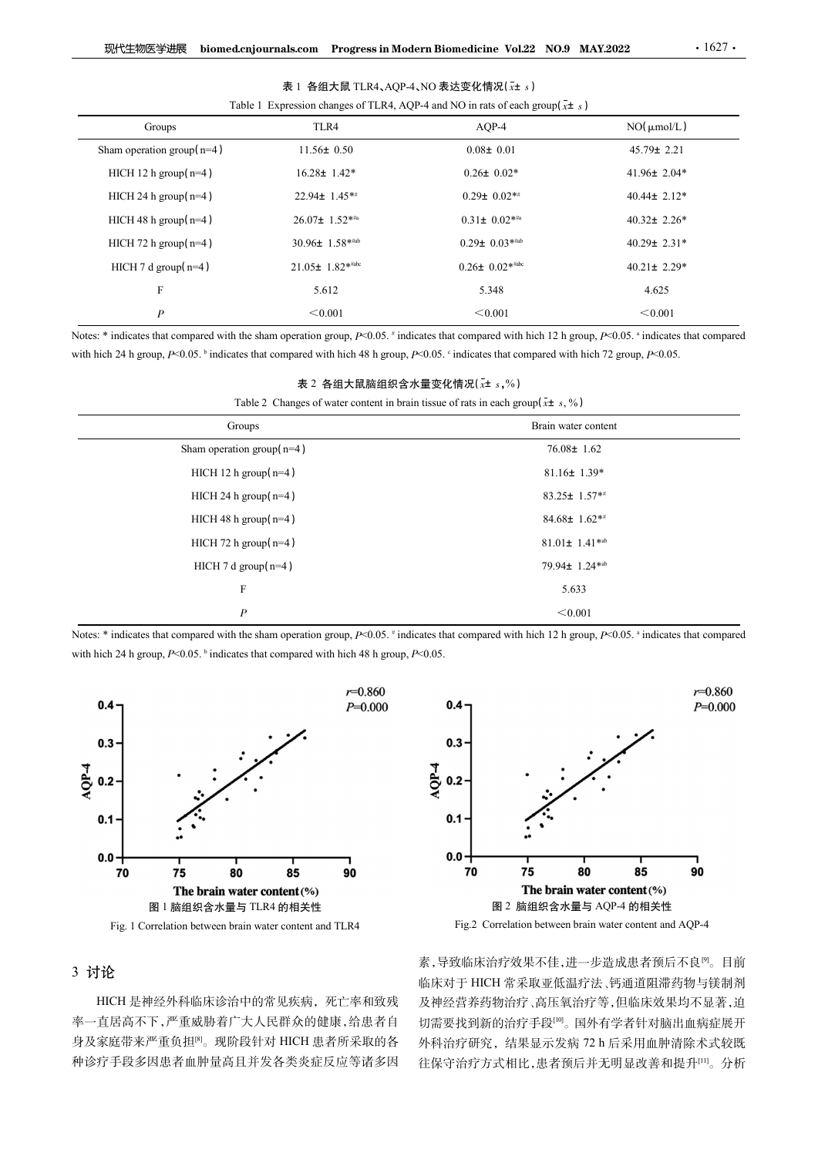| 现代生物医学进展                                                                                                                                                  |                      | biomed.cnjournals.com Progress in Modern Biomedicine Vol.22 NO.9 MAY.2022                                                     | $\cdot$ 1627 $\cdot$ |  |
|-----------------------------------------------------------------------------------------------------------------------------------------------------------|----------------------|-------------------------------------------------------------------------------------------------------------------------------|----------------------|--|
|                                                                                                                                                           |                      |                                                                                                                               |                      |  |
|                                                                                                                                                           |                      | 表 1 各组大鼠 TLR4、AQP-4、NO 表达变化情况(x± s)<br>Table 1 Expression changes of TLR4, AQP-4 and NO in rats of each group( $\bar{x}$ ± s) |                      |  |
| Groups                                                                                                                                                    | TLR4                 | AQP-4                                                                                                                         | $NO(\mu m o/L)$      |  |
| Sham operation group( $n=4$ )                                                                                                                             | $11.56 \pm 0.50$     | $0.08 \pm 0.01$                                                                                                               | $45.79 \pm 2.21$     |  |
| HICH 12 h group( $n=4$ )                                                                                                                                  | $16.28 \pm 1.42*$    | $0.26 \pm 0.02*$                                                                                                              | 41.96± 2.04*         |  |
| HICH 24 h group(n=4)                                                                                                                                      | 22.94± 1.45**        | $0.29 \pm 0.02$ **                                                                                                            | $40.44 \pm 2.12*$    |  |
| HICH 48 h group(n=4)                                                                                                                                      | 26.07± 1.52*#a       | $0.31 \pm 0.02$ ***                                                                                                           | 40.32 $\pm$ 2.26*    |  |
| HICH 72 h group(n=4)                                                                                                                                      | $30.96 \pm 1.58$ *** | $0.29 \pm 0.03$ *#ab                                                                                                          | 40.29± 2.31*         |  |
| HICH 7 d group(n=4)                                                                                                                                       | $21.05 \pm 1.82$ *** | $0.26 \pm 0.02$ **abc                                                                                                         | $40.21 \pm 2.29*$    |  |
| $\mathbf F$                                                                                                                                               | 5.612                | 5.348                                                                                                                         | 4.625                |  |
| $\boldsymbol{P}$                                                                                                                                          | < 0.001              | < 0.001                                                                                                                       | < 0.001              |  |
| Notes: * indicates that compared with the sham operation group, P<0.05. # indicates that compared with hich 12 h group, P<0.05. a indicates that compared |                      |                                                                                                                               |                      |  |
| with hich 24 h group, $P<0.05$ . bindicates that compared with hich 48 h group, $P<0.05$ . cindicates that compared with hich 72 group, $P<0.05$ .        |                      |                                                                                                                               |                      |  |
|                                                                                                                                                           |                      | 表 2 各组大鼠脑组织含水量变化情况(x± s,%)                                                                                                    |                      |  |
|                                                                                                                                                           |                      | Table 2 Changes of water content in brain tissue of rats in each group( $\bar{x}$ ± s, %)                                     |                      |  |
| Groups                                                                                                                                                    |                      |                                                                                                                               | Brain water content  |  |
| Sham operation group( $n=4$ )                                                                                                                             |                      |                                                                                                                               | $76.08 \pm 1.62$     |  |
| HICH 12 h group $(n=4)$                                                                                                                                   |                      |                                                                                                                               | $81.16 \pm 1.39*$    |  |
| HICH 24 h group( $n=4$ )                                                                                                                                  |                      |                                                                                                                               | 83.25± $1.57**$      |  |
| HICH 48 h group(n=4)                                                                                                                                      |                      |                                                                                                                               | 84.68± 1.62**        |  |
| HICH 72 h group( $n=4$ )                                                                                                                                  |                      |                                                                                                                               | $81.01 \pm 1.41$ *ab |  |
|                                                                                                                                                           |                      |                                                                                                                               |                      |  |

| HICH 12 h group $(n=4)$<br>$16.28 \pm 1.42^*$<br>$0.26 \pm 0.02*$<br>HICH 24 h group $(n=4)$<br>$0.29 \pm 0.02**$<br>22.94± 1.45**<br>HICH 48 h group( $n=4$ )<br>26.07± 1.52*#a<br>$0.31\pm 0.02$ ***<br>HICH 72 h group( $n=4$ )<br>30.96± 1.58*#ab<br>$0.29 \pm 0.03$ **** | $41.96 \pm 2.04*$<br>40.44± 2.12*<br>40.32 $\pm$ 2.26* |  |
|-------------------------------------------------------------------------------------------------------------------------------------------------------------------------------------------------------------------------------------------------------------------------------|--------------------------------------------------------|--|
|                                                                                                                                                                                                                                                                               |                                                        |  |
|                                                                                                                                                                                                                                                                               |                                                        |  |
|                                                                                                                                                                                                                                                                               |                                                        |  |
|                                                                                                                                                                                                                                                                               | 40.29± 2.31*                                           |  |
| $0.26 \pm 0.02$ **abc<br>21.05± 1.82***<br>HICH $7 d$ group( $n=4$ )                                                                                                                                                                                                          | $40.21 \pm 2.29*$                                      |  |
| 5.612<br>5.348<br>F                                                                                                                                                                                                                                                           | 4.625                                                  |  |
| < 0.001<br>$\boldsymbol{P}$<br>< 0.001                                                                                                                                                                                                                                        | < 0.001                                                |  |
| Notes: * indicates that compared with the sham operation group, P<0.05. # indicates that compared with hich 12 h group, P<0.05. a indicates that compared                                                                                                                     |                                                        |  |
| with hich 24 h group, $P<0.05$ . bindicates that compared with hich 48 h group, $P<0.05$ . $\degree$ indicates that compared with hich 72 group, $P<0.05$ .                                                                                                                   |                                                        |  |
| 表 2 各组大鼠脑组织含水量变化情况(x+ s,%)                                                                                                                                                                                                                                                    |                                                        |  |
| Table 2 Changes of water content in brain tissue of rats in each group( $\bar{x}$ ± s, %)                                                                                                                                                                                     |                                                        |  |
| Groups                                                                                                                                                                                                                                                                        | Brain water content                                    |  |
| Sham operation group( $n=4$ )                                                                                                                                                                                                                                                 | $76.08 \pm 1.62$                                       |  |
| HICH 12 h group $(n=4)$                                                                                                                                                                                                                                                       | $81.16 \pm 1.39*$                                      |  |
| HICH 24 h group( $n=4$ )                                                                                                                                                                                                                                                      | 83.25± 1.57**                                          |  |
| HICH 48 h group $(n=4)$                                                                                                                                                                                                                                                       | 84.68± 1.62**                                          |  |
| HICH 72 h group( $n=4$ )                                                                                                                                                                                                                                                      | $81.01 \pm 1.41$ *ab                                   |  |
| HICH 7 d group( $n=4$ )                                                                                                                                                                                                                                                       | 79.94± 1.24* <sup>ab</sup>                             |  |
| 5.633<br>F                                                                                                                                                                                                                                                                    |                                                        |  |
| < 0.001<br>$\boldsymbol{P}$                                                                                                                                                                                                                                                   |                                                        |  |

| 表 2 各组大鼠脑组织含水量变化情况( $\rm_{\it{x}}$ ± $\rm_{\it{s}}$ ,%) |  |
|---------------------------------------------------------|--|
|---------------------------------------------------------|--|





# 3 讨论

HICH 是神经外科临床诊治中的常见疾病,死亡率和致残 率一直居高不下,严重威胁着广大人民群众的健康,给患者自 身及家庭带来严重负担<sup>8</sup>。现阶段针对 HICH 患者所采取的各 外科治疗研究, 结果显示发病 72 h 后采用血肿清除术式较既 种诊疗手段多因患者血肿量高且并发各类炎症反应等诸多因

素,导致临床治疗效果不佳,进一步造成患者预后不良<sup>[9]</sup>。目前 临床对于 HICH 常采取亚低温疗法、钙通道阻滞药物与镁制剂 及神经营养药物治疗、高压氧治疗等,但临床效果均不显著,迫 切需要找到新的治疗手段[10]。国外有学者针对脑出血病症展开 往保守治疗方式相比,患者预后并无明显改善和提升[11]。分析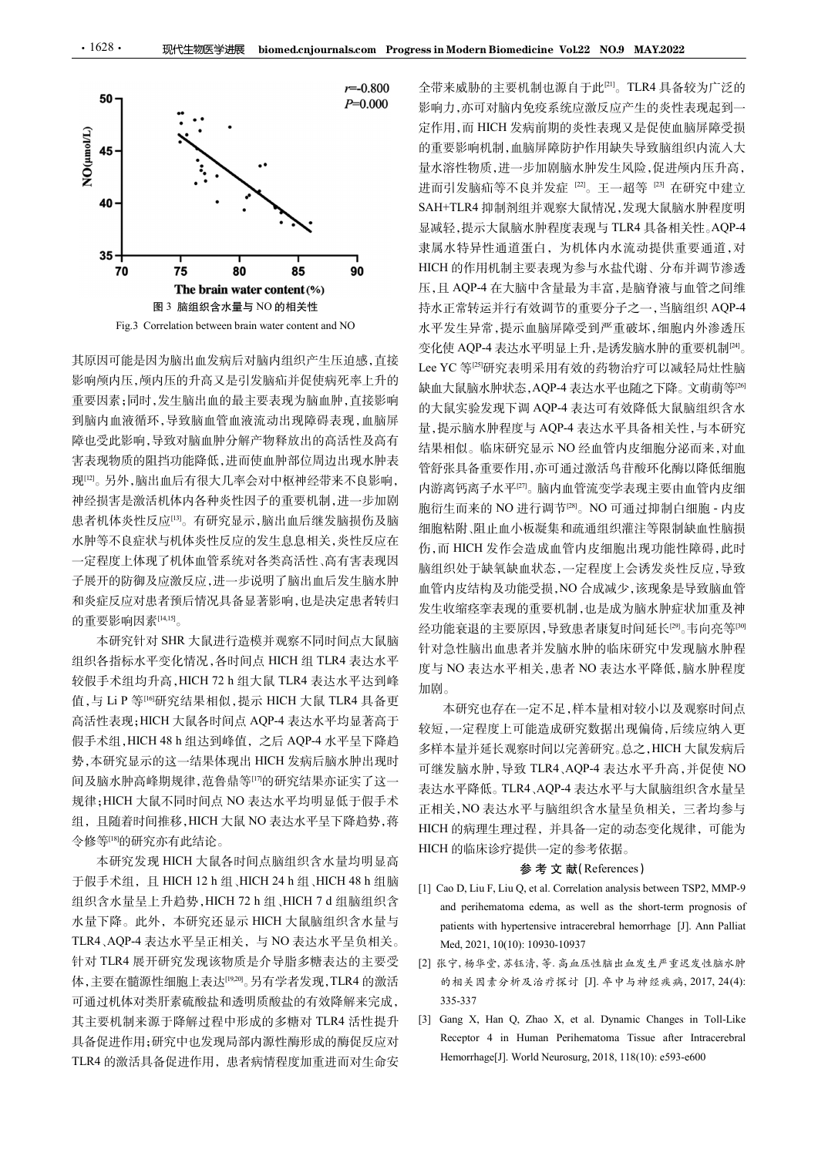

影响颅内压,颅内压的升高又是引发脑疝并促使病死率上升的 重要因素;同时,发生脑出血的最主要表现为脑血肿,直接影响 到脑内血液循环,导致脑血管血液流动出现障碍表现,血脑屏 障也受此影响,导致对脑血肿分解产物释放出的高活性及高有 害表现物质的阻挡功能降低,进而使血肿部位周边出现水肿表 现[12]。另外,脑出血后有很大几率会对中枢神经带来不良影响, 神经损害是激活机体内各种炎性因子的重要机制,进一步加剧 患者机体炎性反应[13]。有研究显示,脑出血后继发脑损伤及脑 水肿等不良症状与机体炎性反应的发生息息相关,炎性反应在 一定程度上体现了机体血管系统对各类高活性、高有害表现因 子展开的防御及应激反应,进一步说明了脑出血后发生脑水肿 和炎症反应对患者预后情况具备显著影响,也是决定患者转归 的重要影响因素[14,15]。 。<br>。<br>。 其原因可能是因为脑出血发病后对指向相似,提示于同时间点大鼠脑中,老年发生环境,最高而低度,因为最高而低度,因为要求来行有效的需要。如果是可以提供了。如果是可以使用的,因为是可以使用的需要要求,因为是可以使用的需要要求,同时,要实现有效的资本进行的需要要求,而且可以提供了利用的,可以要求要求要求要求要求要求要求。如果要要求,以前要要要求,而且可以要求要求,而且可以要求要求,而且可以要求。而且要求进行的需求。如果是一个要求,而且可以要求,而且 假手术组,HICH 48 h 组达到峰值,之后 AQP-4 水平呈下降趋

本研究针对 SHR 大鼠进行造模并观察不同时间点大鼠脑 组织各指标水平变化情况,各时间点 HICH 组 TLR4 表达水平 高活性表现;HICH 大鼠各时间点 AQP-4 表达水平均显著高于 势,本研究显示的这一结果体现出 HICH 发病后脑水肿出现时 间及脑水肿高峰期规律,范鲁鼎等[17]的研究结果亦证实了这一 规律;HICH 大鼠不同时间点 NO 表达水平均明显低于假手术 组,且随着时间推移,HICH 大鼠 NO 表达水平呈下降趋势,蒋 令修等[18]的研究亦有此结论。 于假手术组,且 HICH 12 h 组、HICH 24 h 组、HICH 48 h 组脑 4、一个"红气"经济的人。基地开展,以及进行了。 4 的,而且在日本的需要,同时,如果是最高管内设置最出现的能量的需要,如果是一般是一般的。 4 分,在工程中,我们的一个"大型",如果是一种"大型"。 1 MR 化学产量 T 进行的 2 的。 1 T 工程所的新发展 T 工程,分析系统 1 机气管管 T 计算机 3 的。 4 分, 1 网络国家应用部分 2 的。 4 分, 1 网络国家应对国家信用部分,如果是与国家信息的工程, 1 公式

本研究发现 HICH 大鼠各时间点脑组织含水量均明显高 TLR4、AQP-4 表达水平呈正相关, 与 NO 表达水平呈负相关。 Med, 2021, 10(10): 10930-10937 针对 TLR4 展开研究发现该物质是介导脂多糖表达的主要受 体,主要在髓源性细胞上表达<sup>[19,20]</sup>。另有学者发现,TLR4 的激活 的相关因素分析及治疗探讨 [J]. 卒中与神经疾病, 2017, 24(4): 可通过机体对类肝素硫酸盐和透明质酸盐的有效降解来完成, 其主要机制来源于降解过程中形成的多糖对 TLR4 活性提升 [3] Gang X, Han Q, Zhao X, et al. Dynamic Changes in Toll-Like TLR4 的激活具备促进作用,患者病情程度加重进而对生命安

图3 脑组织含水量与 NO 的相关性 持水正常转运并行有效调节的重要分子之一, 当脑组织 AQP-4 Fig.3 Correlation between between between the correlation between between the correlation between between the correlation of the correlation of the correlation of the content and NO and The Correlation between between an 其原因可能是因为脑出血发病后对脑内组织产生压迫感,直接 Lee YC 等[2]研究表明采用有效的药物治疗可以减轻局灶性脑 - Fue 3 Corelation between beam water content and XO<br>- 基层固定性测力筛出血发病后对脑内组织产生压迫感,直接 VC 等空研究差异常,提示血脑原生生,是主水平系<br>- 整備與同時,國用細胞性的是主要被血肿,直接影响、使化、吸收能力,是达水平利用,是有效发生,使用需要引擎,同时,是由需要调整,同时,是由需要调整,可以使用需要重要要调整,同时,是由需要引擎,而且,是有效发生,要求要求,可以 全带来威胁的主要机制也源自于此[21] 。TLR4 具备较为广泛的 影响力,亦可对脑内免疫系统应激反应产生的炎性表现起到一 定作用,而 HICH 发病前期的炎性表现又是促使血脑屏障受损 的重要影响机制,血脑屏障防护作用缺失导致脑组织内流入大 量水溶性物质,进一步加剧脑水肿发生风险,促进颅内压升高, 进而引发脑疝等不良并发症 [22]。王一超等 [23] 在研究中建立 SAH+TLR4 抑制剂组并观察大鼠情况,发现大鼠脑水肿程度明 显减轻,提示大鼠脑水肿程度表现与 TLR4 具备相关性。AQP-4 隶属水特异性通道蛋白,为机体内水流动提供重要通道,对 HICH 的作用机制主要表现为参与水盐代谢、分布并调节渗透 压,且 AQP-4 在大脑中含量最为丰富,是脑脊液与血管之间维 水平发生异常,提示血脑屏障受到严重破坏,细胞内外渗透压 变化使 AQP-4 表达水平明显上升,是诱发脑水肿的重要机制<sup>[24]</sup>。 ss in Modern Biomedicine Vol.22 NO.9 MAY.2022<br>全带来威胁的主要机制也源自于此<sup>pn</sup>。TLR4 具备较为广泛的<br>影响力,亦可对脑内免疫系统应激反应产生的炎性表现起到一<br>脱氧片,而 HICH 发病前期的炎性表现又是促使血脑屏障受损<br>在作用,而 HICH 发病前期的炎性表现又是促使血脑屏障受损失<br><br>10重要影响机制,血脑屏障防护作用缺失导致脑组织内压力,<br>水溶性物质,非一步加剧脑水肿程度表现与 缺血大鼠脑水肿状态,AQP-4 表达水平也随之下降。文萌萌等[26] 的大鼠实验发现下调 AQP-4 表达可有效降低大鼠脑组织含水 量,提示脑水肿程度与 AQP-4 表达水平具备相关性,与本研究 结果相似。临床研究显示 NO 经血管内皮细胞分泌而来,对血 管舒张具备重要作用,亦可通过激活鸟苷酸环化酶以降低细胞 内游离钙离子水平[27]。脑内血管流变学表现主要由血管内皮细 胞衍生而来的 NO 进行调节[28] 。NO 可通过抑制白细胞 - 内皮 细胞粘附、阻止血小板凝集和疏通组织灌注等限制缺血性脑损 伤,而 HICH 发作会造成血管内皮细胞出现功能性障碍,此时 脑组织处于缺氧缺血状态,一定程度上会诱发炎性反应,导致 血管内皮结构及功能受损,NO 合成减少,该现象是导致脑血管 发生收缩痉挛表现的重要机制,也是成为脑水肿症状加重及神 经功能衰退的主要原因,导致患者康复时间延长[29]。韦向亮等[30] 针对急性脑出血患者并发脑水肿的临床研究中发现脑水肿程 度与 NO 表达水平相关,患者 NO 表达水平降低,脑水肿程度 加剧。 5mg-map - and Feither Manning (1110) 10330-10331 (41110) 10330-10331 (41110) 10330-10331 (411) 10320-10331 (411) 10320-10331 (411) 10320-10331 (411) 10320-10331 (411) 10320-10331 (411) 10320-10331 (41) 104 (42) 104 (42)

本研究也存在一定不足,样本量相对较小以及观察时间点 较短,一定程度上可能造成研究数据出现偏倚,后续应纳入更 多样本量并延长观察时间以完善研究。总之,HICH 大鼠发病后 可继发脑水肿,导致 TLR4、AQP-4 表达水平升高,并促使 NO 表达水平降低。TLR4、AQP-4 表达水平与大鼠脑组织含水量呈 正相关,NO 表达水平与脑组织含水量呈负相关,三者均参与 HICH 的病理生理过程,并具备一定的动态变化规律,可能为 HICH 的临床诊疗提供一定的参考依据。 1年,开共奋一足的幼态受化观得<br>是供一定的参考依据。<br><mark>参 考 文 献(References)</mark> m m.c.n and perihemator and period and perihemator and period and period in the station of the station in the short-term progres in the short-term progres of the short-term progres of the short-term progres of the short-BX业丁咪氧硬脂状态,一定经度上空防反火管比照, 机气管装备 机气管装备 机头面 化对称 化分成 经营业管理 计算机 的复数 计算机 的复数 计算机 的复数 计算机 机密度 计算机 机能变化 的表达水平相关,患者 NO 表达水平解低,脑水肿程度,10. 我还不平时的,我们可以完善研究。总之,HICH 大鼠发病后,一定程度上可能造成研究数据出现偏倚,后续应纳人更可能是以不同,一定程度上可能造成研究数据出现偏倚,后续应纳人更后,一定程度上可 TAI发给科学研究,以及进程为标准,而以前提供一般,如10%,指定的指定,如果是可以通常要利用,是发展的重要材料来说,但是发展的生产。<br>(收缩室表现两因来国内,电导成为脑水肿症状, 前后,同时,同时,<br>(能按时间出患者下导致患时间延长<sup>(6)</sup>: -同应等的, 同应等的, 100 表达水平相关, 患者 NO 表达水平降低, 脑水肿程度, 10<br>100 表达水平相关, 患者 NO 表达水平降低, 脑水肿程度, 100 表达水平相关, 患者 的相关因素分析及治疗探讨 [J]. 卒中与神经疾病, 2017, 24(4): 度与 NO 表达水平相关,患者 NO 表达水平降低,脑水肿程度<br>加剧。<br>本研究也存在一定不足,样本量相对较小以及观察时间点<br>※、本研究也在应用的实数据出现偏倚,后续应纳入病后<br>※、本量并延长观察时间以完善研究,总之,HICH 大级应纳入病后<br>多能本量计延长观察时间以完善研究,总之,HICH 大量发病人病后<br>再继发脑水肿,导致 TLR4,AQP-4 表达水平升高,并使使 NO<br>表达水平降低。TLR4,AQP-4 表达水平与太前段供含水量呈 1。<br>本研究也存在一定不足、样本量相对较小以及观察时间点<br>、一定程度上可能造成研究数据出现偏倚、后续应纳入更<br>・本量并延长观察时间以完善研究。总之、HICH 大鼠发病后<br>接套计延长观察时间以完善研究。总之、HICH 大鼠发病后<br>KK 部体、导致 TIR4、AQP4 表达水平与下高(推促使 NO<br>水平降低。 TIR4、AQP4 表达水平与大能随组织含水量呈<br>注入 NO 表达水平与脑组织含水量呈负相关、三者均多与<br>H 的病理生理过程、并具备 本研究也存在一定不足,样本量相对较小以及观察时间点<br>,-一定程度上可能造成研究数据出现偏倚,后续应纳入更<br>,-一定程度上可能造成研究数据出现偏倚,后续应纳入更后<br>,-本量并延长观察时间以完善研究,总之,HICH 大鼠发病后<br>,<br>按时降低, FRA, AQP-4 表达水平与长肌脑组织,各水量呈<br>,<br>水平降低, TLR4, AQP-4 表达水平与大鼠脑组织,各水量呈<br>,<br>关, NO 表达水平与脑组织系水量呈负机关, 三者均多与<br>,<br>H关, N

- 水量下降。此外,本研究还显示 HICH 大鼠脑组织含水量与 patients with hypertensive intracerebral hemorrhage [J]. Ann Palliat
	- [2] 张宁, 杨华堂, 苏钰清, 等. 高血压性脑出血发生严重迟发性脑水肿 335-337
- 具备促进作用;研究中也发现局部内源性酶形成的酶促反应对 Receptor 4 in Human Perihematoma Tissue after Intracerebral<br>TLRA的激活具名促进作用,患者病情把麻加香进面对什合它 Hemorrhage[J]. World Neurosurg, 2018, 118(10): e593-e600